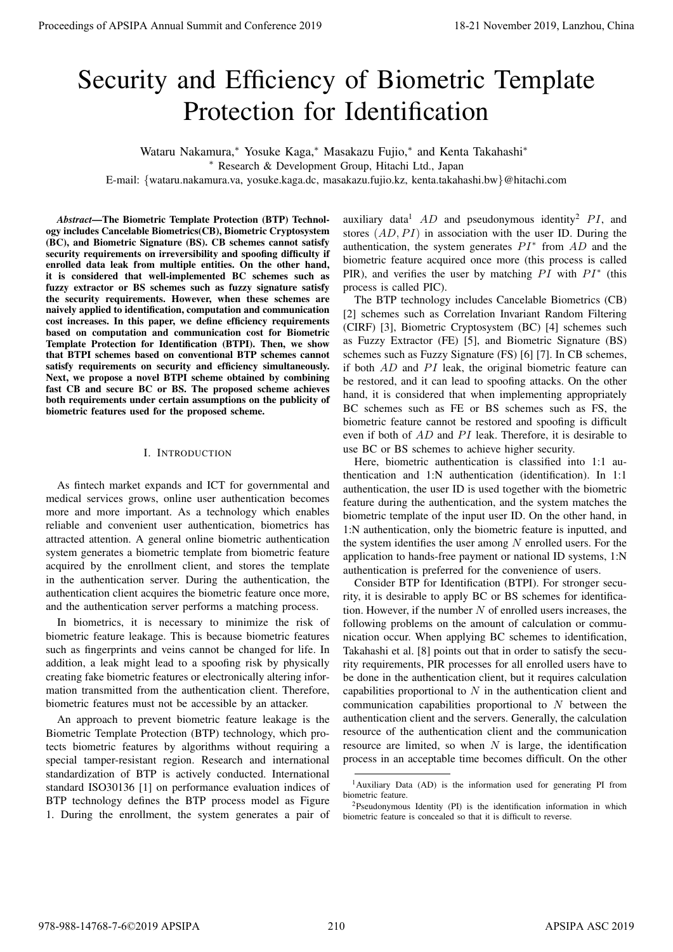# Security and Efficiency of Biometric Template Protection for Identification

Wataru Nakamura,*<sup>∗</sup>* Yosuke Kaga,*<sup>∗</sup>* Masakazu Fujio,*<sup>∗</sup>* and Kenta Takahashi*<sup>∗</sup>*

*<sup>∗</sup>* Research & Development Group, Hitachi Ltd., Japan

E-mail: *{*wataru.nakamura.va, yosuke.kaga.dc, masakazu.fujio.kz, kenta.takahashi.bw*}*@hitachi.com

*Abstract*—The Biometric Template Protection (BTP) Technology includes Cancelable Biometrics(CB), Biometric Cryptosystem (BC), and Biometric Signature (BS). CB schemes cannot satisfy security requirements on irreversibility and spoofing difficulty if enrolled data leak from multiple entities. On the other hand, it is considered that well-implemented BC schemes such as fuzzy extractor or BS schemes such as fuzzy signature satisfy the security requirements. However, when these schemes are naively applied to identification, computation and communication cost increases. In this paper, we define efficiency requirements based on computation and communication cost for Biometric Template Protection for Identification (BTPI). Then, we show that BTPI schemes based on conventional BTP schemes cannot satisfy requirements on security and efficiency simultaneously. Next, we propose a novel BTPI scheme obtained by combining fast CB and secure BC or BS. The proposed scheme achieves both requirements under certain assumptions on the publicity of biometric features used for the proposed scheme. Proceedings of APSIPA Annual Summit and Conference 2019<br>
Security and Efficiency of Biometeric Template<br>
Protection for Identification<br>
Summit and Conference 2019<br>
Summit and Conference 2019<br>
Summit and Conference 2019<br>
S

# I. INTRODUCTION

As fintech market expands and ICT for governmental and medical services grows, online user authentication becomes more and more important. As a technology which enables reliable and convenient user authentication, biometrics has attracted attention. A general online biometric authentication system generates a biometric template from biometric feature acquired by the enrollment client, and stores the template in the authentication server. During the authentication, the authentication client acquires the biometric feature once more, and the authentication server performs a matching process.

In biometrics, it is necessary to minimize the risk of biometric feature leakage. This is because biometric features such as fingerprints and veins cannot be changed for life. In addition, a leak might lead to a spoofing risk by physically creating fake biometric features or electronically altering information transmitted from the authentication client. Therefore, biometric features must not be accessible by an attacker.

An approach to prevent biometric feature leakage is the Biometric Template Protection (BTP) technology, which protects biometric features by algorithms without requiring a special tamper-resistant region. Research and international standardization of BTP is actively conducted. International standard ISO30136 [1] on performance evaluation indices of BTP technology defines the BTP process model as Figure 1. During the enrollment, the system generates a pair of

auxiliary data<sup>1</sup>  $AD$  and pseudonymous identity<sup>2</sup>  $PI$ , and stores  $(AD, PI)$  in association with the user ID. During the authentication, the system generates *P I<sup>∗</sup>* from *AD* and the biometric feature acquired once more (this process is called PIR), and verifies the user by matching *PI* with  $PI^*$  (this process is called PIC).

The BTP technology includes Cancelable Biometrics (CB) [2] schemes such as Correlation Invariant Random Filtering (CIRF) [3], Biometric Cryptosystem (BC) [4] schemes such as Fuzzy Extractor (FE) [5], and Biometric Signature (BS) schemes such as Fuzzy Signature (FS) [6] [7]. In CB schemes, if both *AD* and *PI* leak, the original biometric feature can be restored, and it can lead to spoofing attacks. On the other hand, it is considered that when implementing appropriately BC schemes such as FE or BS schemes such as FS, the biometric feature cannot be restored and spoofing is difficult even if both of *AD* and *PI* leak. Therefore, it is desirable to use BC or BS schemes to achieve higher security.

Here, biometric authentication is classified into 1:1 authentication and 1:N authentication (identification). In 1:1 authentication, the user ID is used together with the biometric feature during the authentication, and the system matches the biometric template of the input user ID. On the other hand, in 1:N authentication, only the biometric feature is inputted, and the system identifies the user among *N* enrolled users. For the application to hands-free payment or national ID systems, 1:N authentication is preferred for the convenience of users.

Consider BTP for Identification (BTPI). For stronger security, it is desirable to apply BC or BS schemes for identification. However, if the number *N* of enrolled users increases, the following problems on the amount of calculation or communication occur. When applying BC schemes to identification, Takahashi et al. [8] points out that in order to satisfy the security requirements, PIR processes for all enrolled users have to be done in the authentication client, but it requires calculation capabilities proportional to *N* in the authentication client and communication capabilities proportional to *N* between the authentication client and the servers. Generally, the calculation resource of the authentication client and the communication resource are limited, so when *N* is large, the identification process in an acceptable time becomes difficult. On the other

<sup>1</sup>Auxiliary Data (AD) is the information used for generating PI from biometric feature.

 $2P$ seudonymous Identity (PI) is the identification information in which biometric feature is concealed so that it is difficult to reverse.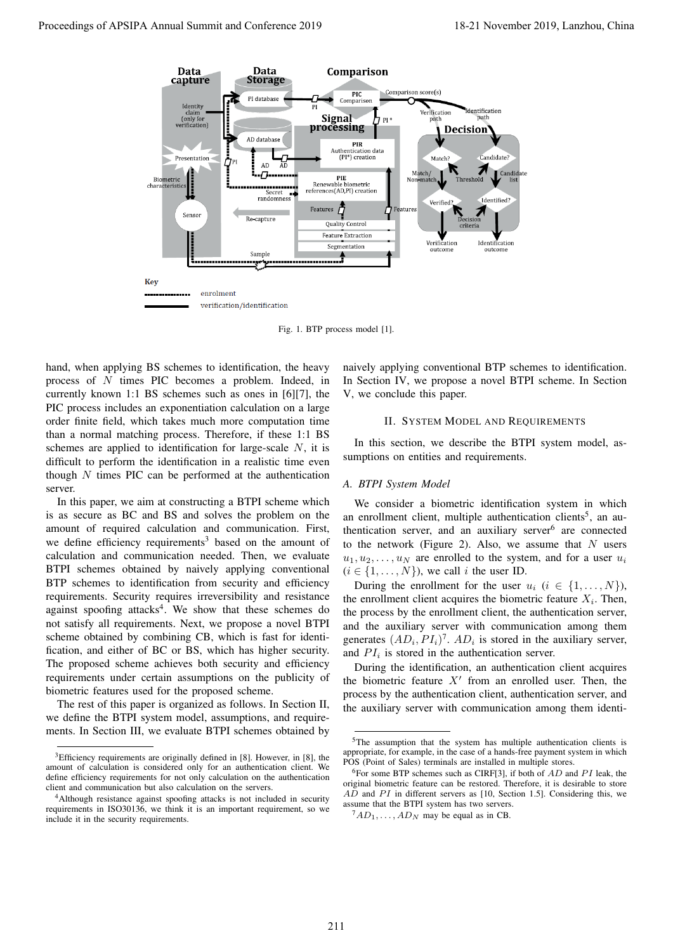

Fig. 1. BTP process model [1].

hand, when applying BS schemes to identification, the heavy process of *N* times PIC becomes a problem. Indeed, in currently known 1:1 BS schemes such as ones in [6][7], the PIC process includes an exponentiation calculation on a large order finite field, which takes much more computation time than a normal matching process. Therefore, if these 1:1 BS schemes are applied to identification for large-scale *N*, it is difficult to perform the identification in a realistic time even though *N* times PIC can be performed at the authentication server.

In this paper, we aim at constructing a BTPI scheme which is as secure as BC and BS and solves the problem on the amount of required calculation and communication. First, we define efficiency requirements<sup>3</sup> based on the amount of calculation and communication needed. Then, we evaluate BTPI schemes obtained by naively applying conventional BTP schemes to identification from security and efficiency requirements. Security requires irreversibility and resistance against spoofing attacks<sup>4</sup>. We show that these schemes do not satisfy all requirements. Next, we propose a novel BTPI scheme obtained by combining CB, which is fast for identification, and either of BC or BS, which has higher security. The proposed scheme achieves both security and efficiency requirements under certain assumptions on the publicity of biometric features used for the proposed scheme.

The rest of this paper is organized as follows. In Section II, we define the BTPI system model, assumptions, and requirements. In Section III, we evaluate BTPI schemes obtained by naively applying conventional BTP schemes to identification. In Section IV, we propose a novel BTPI scheme. In Section V, we conclude this paper.

### II. SYSTEM MODEL AND REQUIREMENTS

In this section, we describe the BTPI system model, assumptions on entities and requirements.

#### *A. BTPI System Model*

We consider a biometric identification system in which an enrollment client, multiple authentication clients<sup>5</sup>, an authentication server, and an auxiliary server<sup>6</sup> are connected to the network (Figure 2). Also, we assume that *N* users  $u_1, u_2, \ldots, u_N$  are enrolled to the system, and for a user  $u_i$  $(i \in \{1, \ldots, N\})$ , we call *i* the user ID.

During the enrollment for the user  $u_i$  ( $i \in \{1, \ldots, N\}$ ), the enrollment client acquires the biometric feature  $X_i$ . Then, the process by the enrollment client, the authentication server, and the auxiliary server with communication among them generates  $(AD_i, PI_i)^7$ .  $AD_i$  is stored in the auxiliary server, and  $PI_i$  is stored in the authentication server.

During the identification, an authentication client acquires the biometric feature  $X'$  from an enrolled user. Then, the process by the authentication client, authentication server, and the auxiliary server with communication among them identi-

<sup>&</sup>lt;sup>3</sup>Efficiency requirements are originally defined in [8]. However, in [8], the amount of calculation is considered only for an authentication client. We define efficiency requirements for not only calculation on the authentication client and communication but also calculation on the servers.

<sup>&</sup>lt;sup>4</sup>Although resistance against spoofing attacks is not included in security requirements in ISO30136, we think it is an important requirement, so we include it in the security requirements.

<sup>5</sup>The assumption that the system has multiple authentication clients is appropriate, for example, in the case of a hands-free payment system in which POS (Point of Sales) terminals are installed in multiple stores.

<sup>6</sup>For some BTP schemes such as CIRF[3], if both of *AD* and *P I* leak, the original biometric feature can be restored. Therefore, it is desirable to store *AD* and *PI* in different servers as [10, Section 1.5]. Considering this, we assume that the BTPI system has two servers.

 $^7AD_1, \ldots, AD_N$  may be equal as in CB.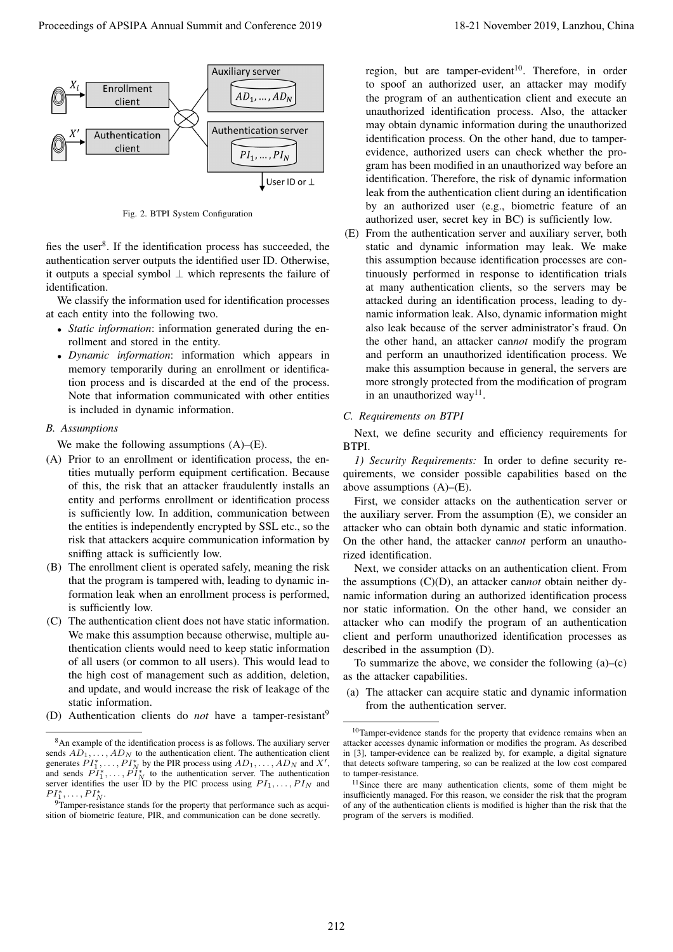

Fig. 2. BTPI System Configuration

fies the user<sup>8</sup>. If the identification process has succeeded, the authentication server outputs the identified user ID. Otherwise, it outputs a special symbol *⊥* which represents the failure of identification.

We classify the information used for identification processes at each entity into the following two.

- *• Static information*: information generated during the enrollment and stored in the entity.
- *• Dynamic information*: information which appears in memory temporarily during an enrollment or identification process and is discarded at the end of the process. Note that information communicated with other entities is included in dynamic information.

## *B. Assumptions*

We make the following assumptions  $(A)$ – $(E)$ .

- (A) Prior to an enrollment or identification process, the entities mutually perform equipment certification. Because of this, the risk that an attacker fraudulently installs an entity and performs enrollment or identification process is sufficiently low. In addition, communication between the entities is independently encrypted by SSL etc., so the risk that attackers acquire communication information by sniffing attack is sufficiently low.
- (B) The enrollment client is operated safely, meaning the risk that the program is tampered with, leading to dynamic information leak when an enrollment process is performed, is sufficiently low.
- (C) The authentication client does not have static information. We make this assumption because otherwise, multiple authentication clients would need to keep static information of all users (or common to all users). This would lead to the high cost of management such as addition, deletion, and update, and would increase the risk of leakage of the static information.
- (D) Authentication clients do *not* have a tamper-resistant<sup>9</sup>

region, but are tamper-evident<sup>10</sup>. Therefore, in order to spoof an authorized user, an attacker may modify the program of an authentication client and execute an unauthorized identification process. Also, the attacker may obtain dynamic information during the unauthorized identification process. On the other hand, due to tamperevidence, authorized users can check whether the program has been modified in an unauthorized way before an identification. Therefore, the risk of dynamic information leak from the authentication client during an identification by an authorized user (e.g., biometric feature of an authorized user, secret key in BC) is sufficiently low.

- (E) From the authentication server and auxiliary server, both static and dynamic information may leak. We make this assumption because identification processes are continuously performed in response to identification trials at many authentication clients, so the servers may be attacked during an identification process, leading to dynamic information leak. Also, dynamic information might also leak because of the server administrator's fraud. On the other hand, an attacker can*not* modify the program and perform an unauthorized identification process. We make this assumption because in general, the servers are more strongly protected from the modification of program in an unauthorized way<sup>11</sup>. Proceedings of APSIPA Annual Summit and Conference 2019<br>
Proceedings of APSIPA Annual Summit and Conference 2019<br>
Proceedings of APSIPA Annual Summit and Conference 2019<br>
Proceedings of APSIPA Annual Summit and Conference
	- *C. Requirements on BTPI*

Next, we define security and efficiency requirements for BTPI.

*1) Security Requirements:* In order to define security requirements, we consider possible capabilities based on the above assumptions (A)–(E).

First, we consider attacks on the authentication server or the auxiliary server. From the assumption (E), we consider an attacker who can obtain both dynamic and static information. On the other hand, the attacker can*not* perform an unauthorized identification.

Next, we consider attacks on an authentication client. From the assumptions (C)(D), an attacker can*not* obtain neither dynamic information during an authorized identification process nor static information. On the other hand, we consider an attacker who can modify the program of an authentication client and perform unauthorized identification processes as described in the assumption (D).

To summarize the above, we consider the following  $(a)$ – $(c)$ as the attacker capabilities.

(a) The attacker can acquire static and dynamic information from the authentication server.

<sup>8</sup>An example of the identification process is as follows. The auxiliary server sends  $AD_1, \ldots, AD_N$  to the authentication client. The authentication client generates  $PI_1^*, \ldots, PI_N^*$  by the PIR process using  $AD_1, \ldots, AD_N$  and  $X'$ , and sends  $PI_1^*, \ldots, PI_N^*$  to the authentication server. The authentication server identifies the user ID by the PIC process using  $PI_1, \ldots, PI_N$  and *P I<sup>∗</sup>* 1 *, . . . , P I<sup>∗</sup> N* . <sup>9</sup>Tamper-resistance stands for the property that performance such as acqui-

sition of biometric feature, PIR, and communication can be done secretly.

<sup>10</sup>Tamper-evidence stands for the property that evidence remains when an attacker accesses dynamic information or modifies the program. As described in [3], tamper-evidence can be realized by, for example, a digital signature that detects software tampering, so can be realized at the low cost compared to tamper-resistance.

<sup>&</sup>lt;sup>11</sup>Since there are many authentication clients, some of them might be insufficiently managed. For this reason, we consider the risk that the program of any of the authentication clients is modified is higher than the risk that the program of the servers is modified.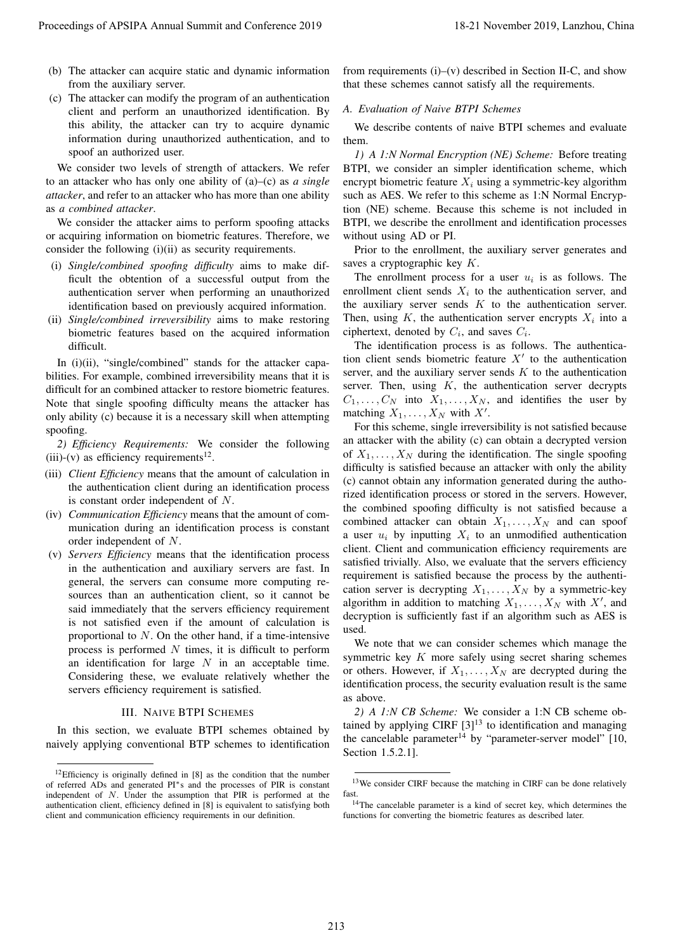- (b) The attacker can acquire static and dynamic information from the auxiliary server.
- (c) The attacker can modify the program of an authentication client and perform an unauthorized identification. By this ability, the attacker can try to acquire dynamic information during unauthorized authentication, and to spoof an authorized user.

We consider two levels of strength of attackers. We refer to an attacker who has only one ability of (a)–(c) as *a single attacker*, and refer to an attacker who has more than one ability as *a combined attacker*.

We consider the attacker aims to perform spoofing attacks or acquiring information on biometric features. Therefore, we consider the following (i)(ii) as security requirements.

- (i) *Single/combined spoofing difficulty* aims to make difficult the obtention of a successful output from the authentication server when performing an unauthorized identification based on previously acquired information.
- (ii) *Single/combined irreversibility* aims to make restoring biometric features based on the acquired information difficult.

In (i)(ii), "single/combined" stands for the attacker capabilities. For example, combined irreversibility means that it is difficult for an combined attacker to restore biometric features. Note that single spoofing difficulty means the attacker has only ability (c) because it is a necessary skill when attempting spoofing.

*2) Efficiency Requirements:* We consider the following (iii)-(v) as efficiency requirements<sup>12</sup>.

- (iii) *Client Efficiency* means that the amount of calculation in the authentication client during an identification process is constant order independent of *N*.
- (iv) *Communication Efficiency* means that the amount of communication during an identification process is constant order independent of *N*.
- (v) *Servers Efficiency* means that the identification process in the authentication and auxiliary servers are fast. In general, the servers can consume more computing resources than an authentication client, so it cannot be said immediately that the servers efficiency requirement is not satisfied even if the amount of calculation is proportional to *N*. On the other hand, if a time-intensive process is performed *N* times, it is difficult to perform an identification for large *N* in an acceptable time. Considering these, we evaluate relatively whether the servers efficiency requirement is satisfied.

### III. NAIVE BTPI SCHEMES

In this section, we evaluate BTPI schemes obtained by naively applying conventional BTP schemes to identification from requirements (i)–(v) described in Section II-C, and show that these schemes cannot satisfy all the requirements.

# *A. Evaluation of Naive BTPI Schemes*

We describe contents of naive BTPI schemes and evaluate them.

*1) A 1:N Normal Encryption (NE) Scheme:* Before treating BTPI, we consider an simpler identification scheme, which encrypt biometric feature  $X_i$  using a symmetric-key algorithm such as AES. We refer to this scheme as 1:N Normal Encryption (NE) scheme. Because this scheme is not included in BTPI, we describe the enrollment and identification processes without using AD or PI.

Prior to the enrollment, the auxiliary server generates and saves a cryptographic key *K*.

The enrollment process for a user  $u_i$  is as follows. The enrollment client sends  $X_i$  to the authentication server, and the auxiliary server sends *K* to the authentication server. Then, using  $K$ , the authentication server encrypts  $X_i$  into a ciphertext, denoted by  $C_i$ , and saves  $C_i$ .

The identification process is as follows. The authentication client sends biometric feature *X′* to the authentication server, and the auxiliary server sends *K* to the authentication server. Then, using *K*, the authentication server decrypts  $C_1, \ldots, C_N$  into  $X_1, \ldots, X_N$ , and identifies the user by matching  $X_1, \ldots, X_N$  with  $X'$ .

For this scheme, single irreversibility is not satisfied because an attacker with the ability (c) can obtain a decrypted version of  $X_1, \ldots, X_N$  during the identification. The single spoofing difficulty is satisfied because an attacker with only the ability (c) cannot obtain any information generated during the authorized identification process or stored in the servers. However, the combined spoofing difficulty is not satisfied because a combined attacker can obtain  $X_1, \ldots, X_N$  and can spoof a user  $u_i$  by inputting  $X_i$  to an unmodified authentication client. Client and communication efficiency requirements are satisfied trivially. Also, we evaluate that the servers efficiency requirement is satisfied because the process by the authentication server is decrypting  $X_1, \ldots, X_N$  by a symmetric-key algorithm in addition to matching  $X_1, \ldots, X_N$  with  $X'$ , and decryption is sufficiently fast if an algorithm such as AES is used. Proceedings of APSIPA Annual Summit and Conference 2019<br>
[A The matrix and the matrix and the matrix and the matrix and the matrix conference 2019 in the matrix and the matrix and the matrix conference 2019 in the matrix

We note that we can consider schemes which manage the symmetric key *K* more safely using secret sharing schemes or others. However, if  $X_1, \ldots, X_N$  are decrypted during the identification process, the security evaluation result is the same as above.

*2) A 1:N CB Scheme:* We consider a 1:N CB scheme obtained by applying CIRF  $[3]^{13}$  to identification and managing the cancelable parameter<sup>14</sup> by "parameter-server model"  $[10, 10]$ Section 1.5.2.1].

 $12$ Efficiency is originally defined in [8] as the condition that the number of referred ADs and generated PI*<sup>∗</sup>* s and the processes of PIR is constant independent of *N*. Under the assumption that PIR is performed at the authentication client, efficiency defined in [8] is equivalent to satisfying both client and communication efficiency requirements in our definition.

<sup>&</sup>lt;sup>13</sup>We consider CIRF because the matching in CIRF can be done relatively fast.

<sup>14</sup>The cancelable parameter is a kind of secret key, which determines the functions for converting the biometric features as described later.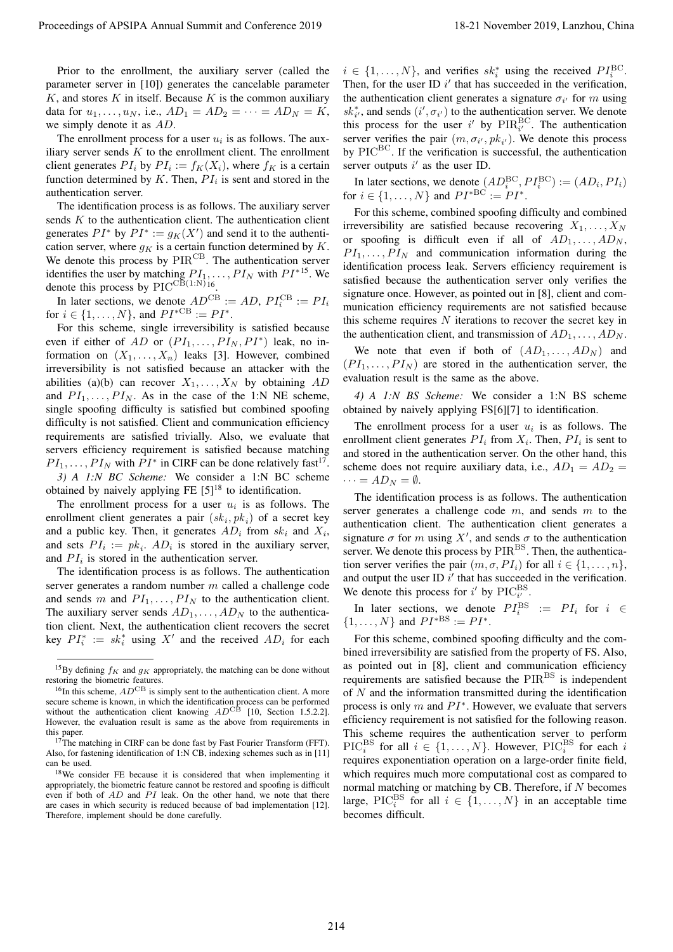Prior to the enrollment, the auxiliary server (called the parameter server in [10]) generates the cancelable parameter *K*, and stores *K* in itself. Because *K* is the common auxiliary data for  $u_1, \ldots, u_N$ , i.e.,  $AD_1 = AD_2 = \cdots = AD_N = K$ , we simply denote it as *AD*.

The enrollment process for a user  $u_i$  is as follows. The auxiliary server sends  $K$  to the enrollment client. The enrollment client generates  $PI_i$  by  $PI_i := f_K(X_i)$ , where  $f_K$  is a certain function determined by  $K$ . Then,  $PI_i$  is sent and stored in the authentication server.

The identification process is as follows. The auxiliary server sends *K* to the authentication client. The authentication client generates  $PI^*$  by  $PI^* := g_K(X')$  and send it to the authentication server, where  $g_K$  is a certain function determined by  $K$ . We denote this process by PIR<sup>CB</sup>. The authentication server identifies the user by matching  $PI_1, \ldots, PI_N$  with  $PI^{*15}$ . We denote this process by  $\text{PIC}^{\text{CB}(1:N)16}$ .

In later sections, we denote  $AD^{\text{CB}} := AD$ ,  $PI_i^{\text{CB}} := PI_i$ for  $i \in \{1, ..., N\}$ , and  $PI^{*CB} := PI^*$ .

For this scheme, single irreversibility is satisfied because even if either of  $AD$  or  $(PI_1, \ldots, PI_N, PI^*)$  leak, no information on  $(X_1, \ldots, X_n)$  leaks [3]. However, combined irreversibility is not satisfied because an attacker with the abilities (a)(b) can recover  $X_1, \ldots, X_N$  by obtaining *AD* and  $PI_1, \ldots, PI_N$ . As in the case of the 1:N NE scheme, single spoofing difficulty is satisfied but combined spoofing difficulty is not satisfied. Client and communication efficiency requirements are satisfied trivially. Also, we evaluate that servers efficiency requirement is satisfied because matching  $PI_1, \ldots, PI_N$  with  $PI^*$  in CIRF can be done relatively fast<sup>17</sup>. *3) A 1:N BC Scheme:* We consider a 1:N BC scheme

obtained by naively applying  $FE [5]^{18}$  to identification.

The enrollment process for a user  $u_i$  is as follows. The enrollment client generates a pair  $(sk_i, pk_i)$  of a secret key and a public key. Then, it generates *AD<sup>i</sup>* from *sk<sup>i</sup>* and *X<sup>i</sup>* , and sets  $PI_i := pk_i$ .  $AD_i$  is stored in the auxiliary server, and  $PI_i$  is stored in the authentication server.

The identification process is as follows. The authentication server generates a random number *m* called a challenge code and sends *m* and  $PI_1, \ldots, PI_N$  to the authentication client. The auxiliary server sends  $AD_1, \ldots, AD_N$  to the authentication client. Next, the authentication client recovers the secret  $key$   $PI_i^* := sk_i^*$  using  $X'$  and the received  $AD_i$  for each

 $i \in \{1, \ldots, N\}$ , and verifies  $sk_i^*$  using the received  $PI_i^{\text{BC}}$ . Then, for the user ID  $i'$  that has succeeded in the verification, the authentication client generates a signature  $\sigma_{i'}$  for *m* using  $sk_{i'}^{*}$ , and sends  $(i', \sigma_{i'})$  to the authentication server. We denote this process for the user  $i'$  by  $PIR_{i'}^{BC}$ . The authentication server verifies the pair  $(m, \sigma_{i'}, pk_{i'})$ . We denote this process by PIC<sup>BC</sup>. If the verification is successful, the authentication server outputs *i ′* as the user ID.

In later sections, we denote  $(AD_i^{BC}, PI_i^{BC}) := (AD_i, PI_i)$ for  $i \in \{1, ..., N\}$  and  $PI^{*BC} := PI^{*}$ .

For this scheme, combined spoofing difficulty and combined irreversibility are satisfied because recovering  $X_1, \ldots, X_N$ or spoofing is difficult even if all of  $AD_1, \ldots, AD_N$ ,  $PI_1, \ldots, PI_N$  and communication information during the identification process leak. Servers efficiency requirement is satisfied because the authentication server only verifies the signature once. However, as pointed out in [8], client and communication efficiency requirements are not satisfied because this scheme requires *N* iterations to recover the secret key in the authentication client, and transmission of  $AD_1, \ldots, AD_N$ .

We note that even if both of  $(AD_1, \ldots, AD_N)$  and  $(PI_1, \ldots, PI_N)$  are stored in the authentication server, the evaluation result is the same as the above.

*4) A 1:N BS Scheme:* We consider a 1:N BS scheme obtained by naively applying FS[6][7] to identification.

The enrollment process for a user  $u_i$  is as follows. The enrollment client generates  $PI_i$  from  $X_i$ . Then,  $PI_i$  is sent to and stored in the authentication server. On the other hand, this scheme does not require auxiliary data, i.e.,  $AD_1 = AD_2$  $\cdots = AD_N = \emptyset.$ 

The identification process is as follows. The authentication server generates a challenge code *m*, and sends *m* to the authentication client. The authentication client generates a signature  $\sigma$  for  $m$  using  $X'$ , and sends  $\sigma$  to the authentication server. We denote this process by  $PIR<sup>BS</sup>$ . Then, the authentication server verifies the pair  $(m, \sigma, PI_i)$  for all  $i \in \{1, \ldots, n\}$ , and output the user ID  $i'$  that has succeeded in the verification. We denote this process for  $i'$  by  $\text{PIC}_{i'}^{\text{BS}}$ .

In later sections, we denote  $PI_i^{\text{BS}} := PI_i$  for  $i \in$  $\{1, \ldots, N\}$  and  $PI^{*BS} := PI^{*}.$ 

For this scheme, combined spoofing difficulty and the combined irreversibility are satisfied from the property of FS. Also, as pointed out in [8], client and communication efficiency requirements are satisfied because the  $PIR<sup>BS</sup>$  is independent of *N* and the information transmitted during the identification process is only *m* and  $PI^*$ . However, we evaluate that servers efficiency requirement is not satisfied for the following reason. This scheme requires the authentication server to perform  $\text{PIC}_{i}^{\text{BS}}$  for all  $i \in \{1, \ldots, N\}$ . However,  $\text{PIC}_{i}^{\text{BS}}$  for each *i* requires exponentiation operation on a large-order finite field, which requires much more computational cost as compared to normal matching or matching by CB. Therefore, if *N* becomes large, PIC<sup>BS</sup> for all  $i \in \{1, ..., N\}$  in an acceptable time becomes difficult. Proceedings of APSIPA Annual Summit at Conference 2019 11:  $\frac{1}{2}$  November 2019 11:  $\frac{1}{2}$  November 2019 11:  $\frac{1}{2}$  November 2019 11:  $\frac{1}{2}$  November 2019 11:  $\frac{1}{2}$  November 2019 11:  $\frac{1}{2}$  November 201

<sup>&</sup>lt;sup>15</sup>By defining  $f_K$  and  $g_K$  appropriately, the matching can be done without restoring the biometric features.

<sup>&</sup>lt;sup>16</sup>In this scheme,  $AD^{\text{CB}}$  is simply sent to the authentication client. A more secure scheme is known, in which the identification process can be performed without the authentication client knowing  $AD<sup>CB</sup>$  [10, Section 1.5.2.2]. However, the evaluation result is same as the above from requirements in this paper.

<sup>&</sup>lt;sup>7</sup>The matching in CIRF can be done fast by Fast Fourier Transform (FFT). Also, for fastening identification of 1:N CB, indexing schemes such as in [11] can be used.

<sup>18</sup>We consider FE because it is considered that when implementing it appropriately, the biometric feature cannot be restored and spoofing is difficult even if both of *AD* and *PI* leak. On the other hand, we note that there are cases in which security is reduced because of bad implementation [12]. Therefore, implement should be done carefully.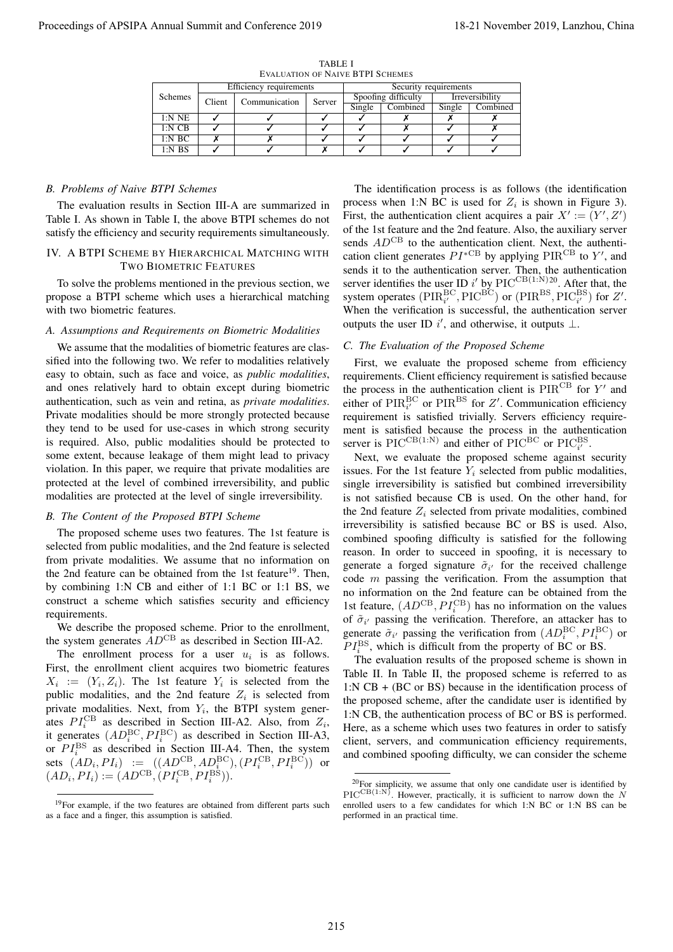|  | L VALUATION OF IVAIVE D'ITT OCHEMES |                         |               |        |                       |                     |                 |          |  |  |  |
|--|-------------------------------------|-------------------------|---------------|--------|-----------------------|---------------------|-----------------|----------|--|--|--|
|  | <b>Schemes</b>                      | Efficiency requirements |               |        | Security requirements |                     |                 |          |  |  |  |
|  |                                     | Client                  | Communication | Server |                       | Spoofing difficulty | Irreversibility |          |  |  |  |
|  |                                     |                         |               |        | Single                | Combined            | Single          | Combined |  |  |  |
|  | 1:NNE                               |                         |               |        |                       |                     |                 |          |  |  |  |
|  | 1:NCB                               |                         |               |        |                       |                     |                 |          |  |  |  |
|  | $1:N$ BC                            |                         |               |        |                       |                     |                 |          |  |  |  |
|  | 1:N BS                              |                         |               |        |                       |                     |                 |          |  |  |  |

TABLE I EVALUATION OF NAIVE BTPI SCHEMES

### *B. Problems of Naive BTPI Schemes*

The evaluation results in Section III-A are summarized in Table I. As shown in Table I, the above BTPI schemes do not satisfy the efficiency and security requirements simultaneously.

## IV. A BTPI SCHEME BY HIERARCHICAL MATCHING WITH TWO BIOMETRIC FEATURES

To solve the problems mentioned in the previous section, we propose a BTPI scheme which uses a hierarchical matching with two biometric features.

## *A. Assumptions and Requirements on Biometric Modalities*

We assume that the modalities of biometric features are classified into the following two. We refer to modalities relatively easy to obtain, such as face and voice, as *public modalities*, and ones relatively hard to obtain except during biometric authentication, such as vein and retina, as *private modalities*. Private modalities should be more strongly protected because they tend to be used for use-cases in which strong security is required. Also, public modalities should be protected to some extent, because leakage of them might lead to privacy violation. In this paper, we require that private modalities are protected at the level of combined irreversibility, and public modalities are protected at the level of single irreversibility.

#### *B. The Content of the Proposed BTPI Scheme*

The proposed scheme uses two features. The 1st feature is selected from public modalities, and the 2nd feature is selected from private modalities. We assume that no information on the 2nd feature can be obtained from the 1st feature<sup>19</sup>. Then, by combining 1:N CB and either of 1:1 BC or 1:1 BS, we construct a scheme which satisfies security and efficiency requirements.

We describe the proposed scheme. Prior to the enrollment, the system generates *AD*CB as described in Section III-A2.

The enrollment process for a user  $u_i$  is as follows. First, the enrollment client acquires two biometric features  $X_i := (Y_i, Z_i)$ . The 1st feature  $Y_i$  is selected from the public modalities, and the 2nd feature  $Z_i$  is selected from private modalities. Next, from *Y<sup>i</sup>* , the BTPI system generates  $PI_i^{\text{CB}}$  as described in Section III-A2. Also, from  $Z_i$ , it generates  $(AD_i^{\text{BC}}, PI_i^{\text{BC}})$  as described in Section III-A3, or  $PI_i^{\text{BS}}$  as described in Section III-A4. Then, the system sets  $(AD_i, PI_i) := ((AD_{i}^{CB}, AD_i^{BC}), (PI_i^{CB}, PI_i^{BC}))$  or  $(AD_i, PI_i) := (AD^{\text{CB}}, (PI_i^{\text{CB}}, PI_i^{\text{BS}})).$ 

The identification process is as follows (the identification process when 1:N BC is used for  $Z_i$  is shown in Figure 3). First, the authentication client acquires a pair  $X' := (Y', Z')$ of the 1st feature and the 2nd feature. Also, the auxiliary server sends  $AD<sup>CB</sup>$  to the authentication client. Next, the authentication client generates  $PI^{*CB}$  by applying  $PIR^{CB}$  to  $Y'$ , and sends it to the authentication server. Then, the authentication server identifies the user ID  $i'$  by PIC<sup>CB(1:N)20</sup>. After that, the system operates ( $\text{PIR}_{i'}^{\text{BC}}, \text{PIC}^{\text{BC}}$ ) or ( $\text{PIR}^{\text{BS}}, \text{PIC}_{i'}^{\text{BS}}$ ) for  $Z'$ . When the verification is successful, the authentication server outputs the user ID  $i'$ , and otherwise, it outputs  $\bot$ .

## *C. The Evaluation of the Proposed Scheme*

First, we evaluate the proposed scheme from efficiency requirements. Client efficiency requirement is satisfied because the process in the authentication client is  $PIR^{CB}$  for  $Y'$  and either of  $\text{PIR}_{i'}^{\text{BC}}$  or  $\text{PIR}^{\text{BS}}$  for  $Z'$ . Communication efficiency requirement is satisfied trivially. Servers efficiency requirement is satisfied because the process in the authentication server is PIC<sup>CB(1:N)</sup> and either of PIC<sup>BC</sup> or PIC<sup>BS</sup><sub>i'</sub>.

Next, we evaluate the proposed scheme against security issues. For the 1st feature  $Y_i$  selected from public modalities, single irreversibility is satisfied but combined irreversibility is not satisfied because CB is used. On the other hand, for the 2nd feature  $Z_i$  selected from private modalities, combined irreversibility is satisfied because BC or BS is used. Also, combined spoofing difficulty is satisfied for the following reason. In order to succeed in spoofing, it is necessary to generate a forged signature  $\tilde{\sigma}_{i'}$  for the received challenge code *m* passing the verification. From the assumption that no information on the 2nd feature can be obtained from the 1st feature,  $(AD^{\text{CB}}, PI_i^{\text{CB}})$  has no information on the values of *σ*˜*<sup>i</sup> ′* passing the verification. Therefore, an attacker has to generate  $\tilde{\sigma}_{i'}$  passing the verification from  $(AD_i^{BC}, PI_i^{BC})$  or  $PI_i^{\text{BS}}$ , which is difficult from the property of BC or BS. Proceedings of APSIPA Annual Summit and Europea 2019<br>
Proceedings of APSIPA Annual Summit and  $\frac{1}{2}$ <br>
Proceedings of APSIPA Annual Summit and Conference 2019, Lanzhou, Lanzhou, Lanzhou, Lanzhou, Lanzhou, Lanzhou, Lanzh

The evaluation results of the proposed scheme is shown in Table II. In Table II, the proposed scheme is referred to as 1:N CB + (BC or BS) because in the identification process of the proposed scheme, after the candidate user is identified by 1:N CB, the authentication process of BC or BS is performed. Here, as a scheme which uses two features in order to satisfy client, servers, and communication efficiency requirements, and combined spoofing difficulty, we can consider the scheme

<sup>&</sup>lt;sup>19</sup>For example, if the two features are obtained from different parts such as a face and a finger, this assumption is satisfied.

 $20$ For simplicity, we assume that only one candidate user is identified by PIC<sup>CB(1:N)</sup>. However, practically, it is sufficient to narrow down the *N* enrolled users to a few candidates for which 1:N BC or 1:N BS can be performed in an practical time.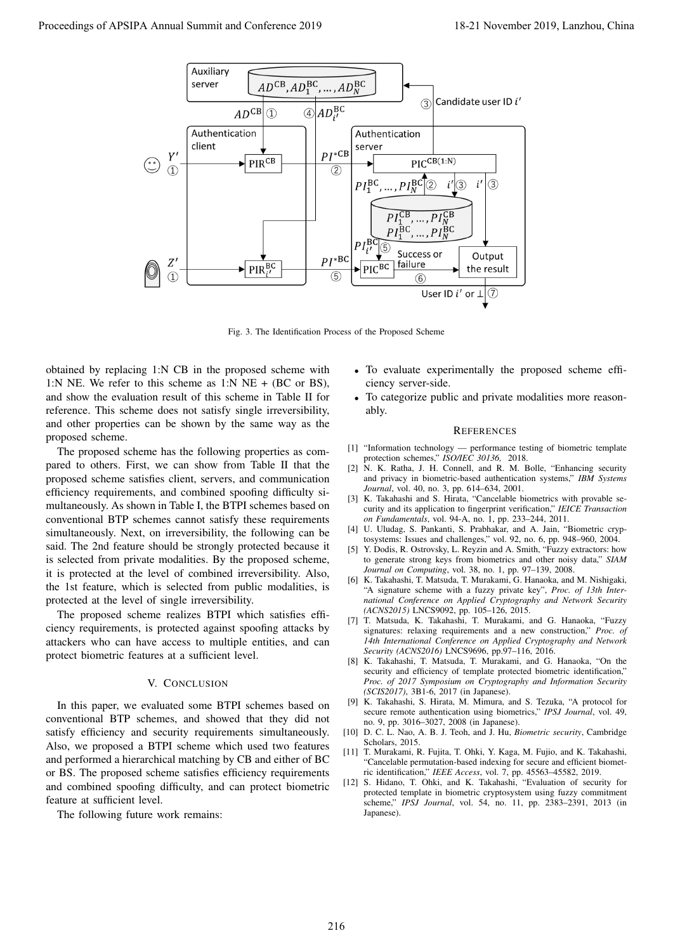

Fig. 3. The Identification Process of the Proposed Scheme

obtained by replacing 1:N CB in the proposed scheme with 1:N NE. We refer to this scheme as 1:N NE + (BC or BS), and show the evaluation result of this scheme in Table II for reference. This scheme does not satisfy single irreversibility, and other properties can be shown by the same way as the proposed scheme.

The proposed scheme has the following properties as compared to others. First, we can show from Table II that the proposed scheme satisfies client, servers, and communication efficiency requirements, and combined spoofing difficulty simultaneously. As shown in Table I, the BTPI schemes based on conventional BTP schemes cannot satisfy these requirements simultaneously. Next, on irreversibility, the following can be said. The 2nd feature should be strongly protected because it is selected from private modalities. By the proposed scheme, it is protected at the level of combined irreversibility. Also, the 1st feature, which is selected from public modalities, is protected at the level of single irreversibility.

The proposed scheme realizes BTPI which satisfies efficiency requirements, is protected against spoofing attacks by attackers who can have access to multiple entities, and can protect biometric features at a sufficient level.

## V. CONCLUSION

In this paper, we evaluated some BTPI schemes based on conventional BTP schemes, and showed that they did not satisfy efficiency and security requirements simultaneously. Also, we proposed a BTPI scheme which used two features and performed a hierarchical matching by CB and either of BC or BS. The proposed scheme satisfies efficiency requirements and combined spoofing difficulty, and can protect biometric feature at sufficient level.

The following future work remains:

- *•* To evaluate experimentally the proposed scheme efficiency server-side.
- *•* To categorize public and private modalities more reasonably.

#### **REFERENCES**

- [1] "Information technology performance testing of biometric template protection schemes," *ISO/IEC 30136,* 2018.
- [2] N. K. Ratha, J. H. Connell, and R. M. Bolle, "Enhancing security and privacy in biometric-based authentication systems," *IBM Systems Journal*, vol. 40, no. 3, pp. 614–634, 2001.
- [3] K. Takahashi and S. Hirata, "Cancelable biometrics with provable security and its application to fingerprint verification," *IEICE Transaction on Fundamentals*, vol. 94-A, no. 1, pp. 233–244, 2011.
- [4] U. Uludag, S. Pankanti, S. Prabhakar, and A. Jain, "Biometric cryptosystems: Issues and challenges," vol. 92, no. 6, pp. 948–960, 2004.
- [5] Y. Dodis, R. Ostrovsky, L. Reyzin and A. Smith, "Fuzzy extractors: how to generate strong keys from biometrics and other noisy data," *SIAM Journal on Computing*, vol. 38, no. 1, pp. 97–139, 2008.
- [6] K. Takahashi, T. Matsuda, T. Murakami, G. Hanaoka, and M. Nishigaki, "A signature scheme with a fuzzy private key", *Proc. of 13th International Conference on Applied Cryptography and Network Security (ACNS2015)* LNCS9092, pp. 105–126, 2015.
- [7] T. Matsuda, K. Takahashi, T. Murakami, and G. Hanaoka, "Fuzzy signatures: relaxing requirements and a new construction," *Proc. of 14th International Conference on Applied Cryptography and Network Security (ACNS2016)* LNCS9696, pp.97–116, 2016.
- [8] K. Takahashi, T. Matsuda, T. Murakami, and G. Hanaoka, "On the security and efficiency of template protected biometric identification," *Proc. of 2017 Symposium on Cryptography and Information Security (SCIS2017)*, 3B1-6, 2017 (in Japanese).
- [9] K. Takahashi, S. Hirata, M. Mimura, and S. Tezuka, "A protocol for secure remote authentication using biometrics," *IPSJ Journal*, vol. 49, no. 9, pp. 3016–3027, 2008 (in Japanese).
- [10] D. C. L. Nao, A. B. J. Teoh, and J. Hu, *Biometric security*, Cambridge Scholars, 2015.
- [11] T. Murakami, R. Fujita, T. Ohki, Y. Kaga, M. Fujio, and K. Takahashi, "Cancelable permutation-based indexing for secure and efficient biometric identification," *IEEE Access*, vol. 7, pp. 45563–45582, 2019.
- [12] S. Hidano, T. Ohki, and K. Takahashi, "Evaluation of security for protected template in biometric cryptosystem using fuzzy commitment scheme," *IPSJ Journal*, vol. 54, no. 11, pp. 2383–2391, 2013 (in Japanese).